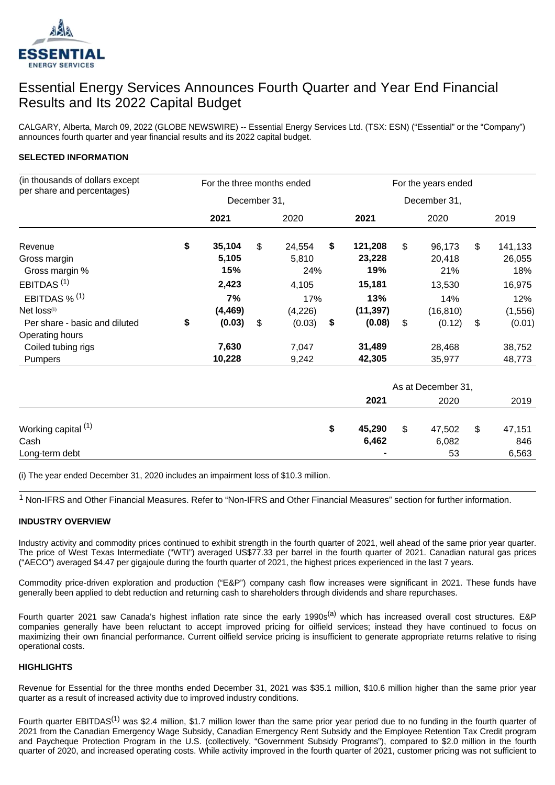

# Essential Energy Services Announces Fourth Quarter and Year End Financial Results and Its 2022 Capital Budget

CALGARY, Alberta, March 09, 2022 (GLOBE NEWSWIRE) -- Essential Energy Services Ltd. (TSX: ESN) ("Essential" or the "Company") announces fourth quarter and year financial results and its 2022 capital budget.

## **SELECTED INFORMATION**

| (in thousands of dollars except | For the three months ended |              |    |         | For the years ended |           |                |              |    |         |  |
|---------------------------------|----------------------------|--------------|----|---------|---------------------|-----------|----------------|--------------|----|---------|--|
| per share and percentages)      |                            | December 31, |    |         |                     |           |                | December 31, |    |         |  |
|                                 |                            | 2021         |    | 2020    |                     | 2021      |                | 2020         |    | 2019    |  |
| Revenue                         | \$                         | 35,104       | \$ | 24,554  | S                   | 121,208   | $\mathfrak{S}$ | 96,173       | \$ | 141,133 |  |
| Gross margin                    |                            | 5,105        |    | 5,810   |                     | 23,228    |                | 20.418       |    | 26,055  |  |
| Gross margin %                  |                            | 15%          |    | 24%     |                     | 19%       |                | 21%          |    | 18%     |  |
| EBITDAS <sup>(1)</sup>          |                            | 2,423        |    | 4,105   |                     | 15,181    |                | 13,530       |    | 16,975  |  |
| EBITDAS $\%$ <sup>(1)</sup>     |                            | 7%           |    | 17%     |                     | 13%       |                | 14%          |    | 12%     |  |
| Net loss <sub>(i)</sub>         |                            | (4, 469)     |    | (4,226) |                     | (11, 397) |                | (16, 810)    |    | (1,556) |  |
| Per share - basic and diluted   | \$                         | (0.03)       | \$ | (0.03)  | \$                  | (0.08)    | \$             | (0.12)       | \$ | (0.01)  |  |
| Operating hours                 |                            |              |    |         |                     |           |                |              |    |         |  |
| Coiled tubing rigs              |                            | 7,630        |    | 7,047   |                     | 31,489    |                | 28,468       |    | 38,752  |  |
| <b>Pumpers</b>                  |                            | 10,228       |    | 9,242   |                     | 42,305    |                | 35,977       |    | 48,773  |  |

|                                |   | As at December 31, |                                     |       |      |        |  |  |  |
|--------------------------------|---|--------------------|-------------------------------------|-------|------|--------|--|--|--|
|                                |   | 2021               |                                     | 2020  | 2019 |        |  |  |  |
| Working capital <sup>(1)</sup> | S | 45,290             | $\boldsymbol{\mathsf{s}}$<br>47,502 |       | \$   | 47,151 |  |  |  |
| Cash                           |   | 6,462              |                                     | 6,082 |      | 846    |  |  |  |
| Long-term debt                 |   | $\blacksquare$     |                                     | 53    |      | 6,563  |  |  |  |

(i) The year ended December 31, 2020 includes an impairment loss of \$10.3 million.

<sup>1</sup> Non-IFRS and Other Financial Measures. Refer to "Non-IFRS and Other Financial Measures" section for further information.

#### **INDUSTRY OVERVIEW**

Industry activity and commodity prices continued to exhibit strength in the fourth quarter of 2021, well ahead of the same prior year quarter. The price of West Texas Intermediate ("WTI") averaged US\$77.33 per barrel in the fourth quarter of 2021. Canadian natural gas prices ("AECO") averaged \$4.47 per gigajoule during the fourth quarter of 2021, the highest prices experienced in the last 7 years.

Commodity price-driven exploration and production ("E&P") company cash flow increases were significant in 2021. These funds have generally been applied to debt reduction and returning cash to shareholders through dividends and share repurchases.

Fourth quarter 2021 saw Canada's highest inflation rate since the early 1990s<sup>(a)</sup> which has increased overall cost structures. E&P companies generally have been reluctant to accept improved pricing for oilfield services; instead they have continued to focus on maximizing their own financial performance. Current oilfield service pricing is insufficient to generate appropriate returns relative to rising operational costs.

#### **HIGHLIGHTS**

Revenue for Essential for the three months ended December 31, 2021 was \$35.1 million, \$10.6 million higher than the same prior year quarter as a result of increased activity due to improved industry conditions.

Fourth quarter EBITDAS<sup>(1)</sup> was \$2.4 million, \$1.7 million lower than the same prior year period due to no funding in the fourth quarter of 2021 from the Canadian Emergency Wage Subsidy, Canadian Emergency Rent Subsidy and the Employee Retention Tax Credit program and Paycheque Protection Program in the U.S. (collectively, "Government Subsidy Programs"), compared to \$2.0 million in the fourth quarter of 2020, and increased operating costs. While activity improved in the fourth quarter of 2021, customer pricing was not sufficient to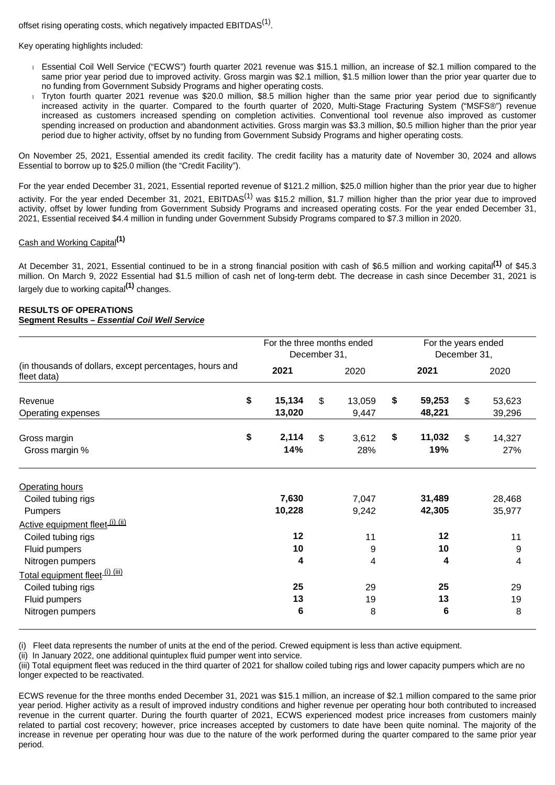offset rising operating costs, which negatively impacted  $EBITDAS<sup>(1)</sup>$ .

Key operating highlights included:

- Essential Coil Well Service ("ECWS") fourth quarter 2021 revenue was \$15.1 million, an increase of \$2.1 million compared to the same prior year period due to improved activity. Gross margin was \$2.1 million, \$1.5 million lower than the prior year quarter due to no funding from Government Subsidy Programs and higher operating costs.
- Tryton fourth quarter 2021 revenue was \$20.0 million, \$8.5 million higher than the same prior year period due to significantly increased activity in the quarter. Compared to the fourth quarter of 2020, Multi-Stage Fracturing System ("MSFS®") revenue increased as customers increased spending on completion activities. Conventional tool revenue also improved as customer spending increased on production and abandonment activities. Gross margin was \$3.3 million, \$0.5 million higher than the prior year period due to higher activity, offset by no funding from Government Subsidy Programs and higher operating costs.

On November 25, 2021, Essential amended its credit facility. The credit facility has a maturity date of November 30, 2024 and allows Essential to borrow up to \$25.0 million (the "Credit Facility").

For the year ended December 31, 2021, Essential reported revenue of \$121.2 million, \$25.0 million higher than the prior year due to higher activity. For the year ended December 31, 2021, EBITDAS<sup>(1)</sup> was \$15.2 million, \$1.7 million higher than the prior year due to improved activity, offset by lower funding from Government Subsidy Programs and increased operating costs. For the year ended December 31, 2021, Essential received \$4.4 million in funding under Government Subsidy Programs compared to \$7.3 million in 2020.

# Cash and Working Capital**(1)**

At December 31, 2021, Essential continued to be in a strong financial position with cash of \$6.5 million and working capital**(1)** of \$45.3 million. On March 9, 2022 Essential had \$1.5 million of cash net of long-term debt. The decrease in cash since December 31, 2021 is largely due to working capital**(1)** changes.

## **RESULTS OF OPERATIONS Segment Results – Essential Coil Well Service**

|                                                                        | For the three months ended<br>December 31, |              |                           |              |    | For the years ended<br>December 31, |    |               |  |
|------------------------------------------------------------------------|--------------------------------------------|--------------|---------------------------|--------------|----|-------------------------------------|----|---------------|--|
| (in thousands of dollars, except percentages, hours and<br>fleet data) |                                            | 2021         | 2020                      |              |    | 2021                                |    | 2020          |  |
| Revenue                                                                | \$                                         | 15,134       | $\mathfrak{L}$            | 13,059       | \$ | 59,253                              | \$ | 53,623        |  |
| Operating expenses                                                     |                                            | 13,020       |                           | 9,447        |    | 48,221                              |    | 39,296        |  |
| Gross margin<br>Gross margin %                                         | \$                                         | 2,114<br>14% | $\boldsymbol{\mathsf{S}}$ | 3,612<br>28% | \$ | 11,032<br>19%                       | \$ | 14,327<br>27% |  |
| <b>Operating hours</b>                                                 |                                            |              |                           |              |    |                                     |    |               |  |
| Coiled tubing rigs                                                     |                                            | 7,630        |                           | 7,047        |    | 31,489                              |    | 28,468        |  |
| <b>Pumpers</b>                                                         |                                            | 10,228       |                           | 9,242        |    | 42,305                              |    | 35,977        |  |
| Active equipment fleet (i) (ii)                                        |                                            |              |                           |              |    |                                     |    |               |  |
| Coiled tubing rigs                                                     |                                            | 12           |                           | 11           |    | 12                                  |    | 11            |  |
| Fluid pumpers                                                          |                                            | 10           |                           | 9            |    | 10                                  |    | 9             |  |
| Nitrogen pumpers                                                       |                                            | 4            |                           | 4            |    | 4                                   |    | 4             |  |
| Total equipment fleet <sup>(i)(iii)</sup>                              |                                            |              |                           |              |    |                                     |    |               |  |
| Coiled tubing rigs                                                     |                                            | 25           |                           | 29           |    | 25                                  |    | 29            |  |
| Fluid pumpers                                                          |                                            | 13           |                           | 19           |    | 13                                  |    | 19            |  |
| Nitrogen pumpers                                                       |                                            | 6            |                           | 8            |    | 6                                   |    | 8             |  |
|                                                                        |                                            |              |                           |              |    |                                     |    |               |  |

(i) Fleet data represents the number of units at the end of the period. Crewed equipment is less than active equipment.

(ii) In January 2022, one additional quintuplex fluid pumper went into service.

(iii) Total equipment fleet was reduced in the third quarter of 2021 for shallow coiled tubing rigs and lower capacity pumpers which are no longer expected to be reactivated.

ECWS revenue for the three months ended December 31, 2021 was \$15.1 million, an increase of \$2.1 million compared to the same prior year period. Higher activity as a result of improved industry conditions and higher revenue per operating hour both contributed to increased revenue in the current quarter. During the fourth quarter of 2021, ECWS experienced modest price increases from customers mainly related to partial cost recovery; however, price increases accepted by customers to date have been quite nominal. The majority of the increase in revenue per operating hour was due to the nature of the work performed during the quarter compared to the same prior year period.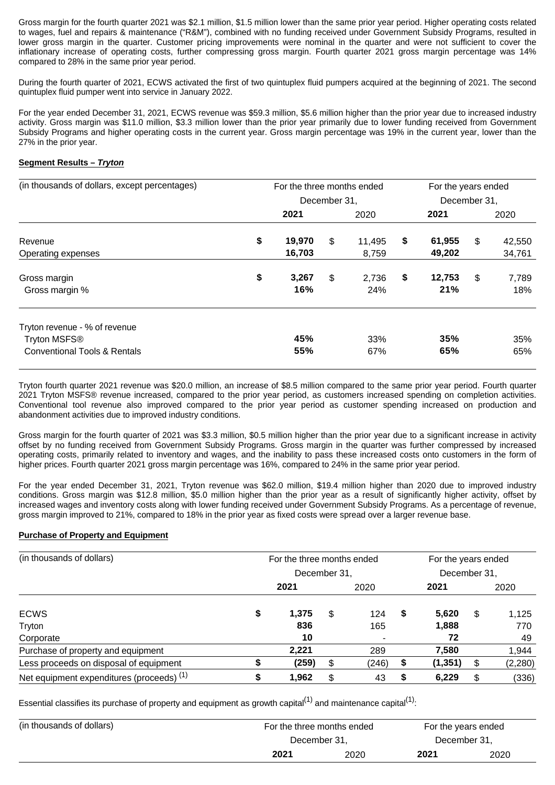Gross margin for the fourth quarter 2021 was \$2.1 million, \$1.5 million lower than the same prior year period. Higher operating costs related to wages, fuel and repairs & maintenance ("R&M"), combined with no funding received under Government Subsidy Programs, resulted in lower gross margin in the quarter. Customer pricing improvements were nominal in the quarter and were not sufficient to cover the inflationary increase of operating costs, further compressing gross margin. Fourth quarter 2021 gross margin percentage was 14% compared to 28% in the same prior year period.

During the fourth quarter of 2021, ECWS activated the first of two quintuplex fluid pumpers acquired at the beginning of 2021. The second quintuplex fluid pumper went into service in January 2022.

For the year ended December 31, 2021, ECWS revenue was \$59.3 million, \$5.6 million higher than the prior year due to increased industry activity. Gross margin was \$11.0 million, \$3.3 million lower than the prior year primarily due to lower funding received from Government Subsidy Programs and higher operating costs in the current year. Gross margin percentage was 19% in the current year, lower than the 27% in the prior year.

### **Segment Results – Tryton**

| (in thousands of dollars, except percentages)                       |              | For the three months ended |    |            |    |              | For the years ended |            |  |  |
|---------------------------------------------------------------------|--------------|----------------------------|----|------------|----|--------------|---------------------|------------|--|--|
|                                                                     | December 31, |                            |    |            |    | December 31, |                     |            |  |  |
|                                                                     |              | 2021                       |    | 2020       |    | 2021         |                     | 2020       |  |  |
| Revenue                                                             | \$           | 19,970                     | \$ | 11,495     | \$ | 61,955       | \$                  | 42,550     |  |  |
| Operating expenses                                                  |              | 16,703                     |    | 8.759      |    | 49,202       |                     | 34,761     |  |  |
| Gross margin                                                        | \$           | 3,267                      | \$ | 2,736      | \$ | 12,753       | \$                  | 7,789      |  |  |
| Gross margin %                                                      |              | 16%                        |    | 24%        |    | 21%          |                     | 18%        |  |  |
| Tryton revenue - % of revenue                                       |              | 45%                        |    |            |    | 35%          |                     |            |  |  |
| Tryton MSFS <sup>®</sup><br><b>Conventional Tools &amp; Rentals</b> |              | 55%                        |    | 33%<br>67% |    | 65%          |                     | 35%<br>65% |  |  |
|                                                                     |              |                            |    |            |    |              |                     |            |  |  |

Tryton fourth quarter 2021 revenue was \$20.0 million, an increase of \$8.5 million compared to the same prior year period. Fourth quarter 2021 Tryton MSFS® revenue increased, compared to the prior year period, as customers increased spending on completion activities. Conventional tool revenue also improved compared to the prior year period as customer spending increased on production and abandonment activities due to improved industry conditions.

Gross margin for the fourth quarter of 2021 was \$3.3 million, \$0.5 million higher than the prior year due to a significant increase in activity offset by no funding received from Government Subsidy Programs. Gross margin in the quarter was further compressed by increased operating costs, primarily related to inventory and wages, and the inability to pass these increased costs onto customers in the form of higher prices. Fourth quarter 2021 gross margin percentage was 16%, compared to 24% in the same prior year period.

For the year ended December 31, 2021, Tryton revenue was \$62.0 million, \$19.4 million higher than 2020 due to improved industry conditions. Gross margin was \$12.8 million, \$5.0 million higher than the prior year as a result of significantly higher activity, offset by increased wages and inventory costs along with lower funding received under Government Subsidy Programs. As a percentage of revenue, gross margin improved to 21%, compared to 18% in the prior year as fixed costs were spread over a larger revenue base.

#### **Purchase of Property and Equipment**

| (in thousands of dollars)                 | For the three months ended |       |   |       |    | For the years ended<br>December 31, |    |          |  |
|-------------------------------------------|----------------------------|-------|---|-------|----|-------------------------------------|----|----------|--|
|                                           | December 31,               |       |   |       |    |                                     |    |          |  |
|                                           |                            | 2021  |   | 2020  |    | 2021                                |    | 2020     |  |
| <b>ECWS</b>                               | \$                         | 1,375 | S | 124   | \$ | 5,620                               | \$ | 1,125    |  |
| Tryton                                    |                            | 836   |   | 165   |    | 1,888                               |    | 770      |  |
| Corporate                                 |                            | 10    |   |       |    | 72                                  |    | 49       |  |
| Purchase of property and equipment        |                            | 2,221 |   | 289   |    | 7,580                               |    | 1,944    |  |
| Less proceeds on disposal of equipment    |                            | (259) | S | (246) | S  | (1, 351)                            | S  | (2, 280) |  |
| Net equipment expenditures (proceeds) (1) | S                          | 1,962 |   | 43    | S  | 6,229                               | \$ | (336)    |  |

Essential classifies its purchase of property and equipment as growth capital<sup>(1)</sup> and maintenance capital<sup>(1)</sup>:

| (in thousands of dollars) |              | For the three months ended |              | For the years ended |  |
|---------------------------|--------------|----------------------------|--------------|---------------------|--|
|                           | December 31. |                            | December 31. |                     |  |
|                           | 2021         | 2020                       | 2021         | 2020                |  |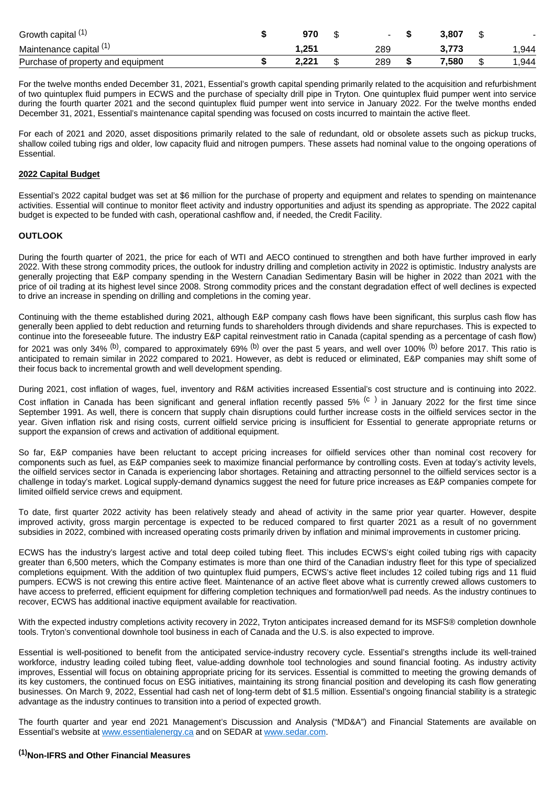| Growth capital (1)                 | 970   |     | 3.807 |      |
|------------------------------------|-------|-----|-------|------|
| Maintenance capital (1)            | . 251 | 289 |       | .944 |
| Purchase of property and equipment | 2.221 | 289 | .580  | ,944 |

For the twelve months ended December 31, 2021, Essential's growth capital spending primarily related to the acquisition and refurbishment of two quintuplex fluid pumpers in ECWS and the purchase of specialty drill pipe in Tryton. One quintuplex fluid pumper went into service during the fourth quarter 2021 and the second quintuplex fluid pumper went into service in January 2022. For the twelve months ended December 31, 2021, Essential's maintenance capital spending was focused on costs incurred to maintain the active fleet.

For each of 2021 and 2020, asset dispositions primarily related to the sale of redundant, old or obsolete assets such as pickup trucks, shallow coiled tubing rigs and older, low capacity fluid and nitrogen pumpers. These assets had nominal value to the ongoing operations of Essential.

#### **2022 Capital Budget**

Essential's 2022 capital budget was set at \$6 million for the purchase of property and equipment and relates to spending on maintenance activities. Essential will continue to monitor fleet activity and industry opportunities and adjust its spending as appropriate. The 2022 capital budget is expected to be funded with cash, operational cashflow and, if needed, the Credit Facility.

#### **OUTLOOK**

During the fourth quarter of 2021, the price for each of WTI and AECO continued to strengthen and both have further improved in early 2022. With these strong commodity prices, the outlook for industry drilling and completion activity in 2022 is optimistic. Industry analysts are generally projecting that E&P company spending in the Western Canadian Sedimentary Basin will be higher in 2022 than 2021 with the price of oil trading at its highest level since 2008. Strong commodity prices and the constant degradation effect of well declines is expected to drive an increase in spending on drilling and completions in the coming year.

Continuing with the theme established during 2021, although E&P company cash flows have been significant, this surplus cash flow has generally been applied to debt reduction and returning funds to shareholders through dividends and share repurchases. This is expected to continue into the foreseeable future. The industry E&P capital reinvestment ratio in Canada (capital spending as a percentage of cash flow) for 2021 was only 34% <sup>(b)</sup>, compared to approximately 69% <sup>(b)</sup> over the past 5 years, and well over 100% <sup>(b)</sup> before 2017. This ratio is anticipated to remain similar in 2022 compared to 2021. However, as debt is reduced or eliminated, E&P companies may shift some of their focus back to incremental growth and well development spending.

During 2021, cost inflation of wages, fuel, inventory and R&M activities increased Essential's cost structure and is continuing into 2022.

Cost inflation in Canada has been significant and general inflation recently passed 5% <sup>(c)</sup> in January 2022 for the first time since September 1991. As well, there is concern that supply chain disruptions could further increase costs in the oilfield services sector in the year. Given inflation risk and rising costs, current oilfield service pricing is insufficient for Essential to generate appropriate returns or support the expansion of crews and activation of additional equipment.

So far, E&P companies have been reluctant to accept pricing increases for oilfield services other than nominal cost recovery for components such as fuel, as E&P companies seek to maximize financial performance by controlling costs. Even at today's activity levels, the oilfield services sector in Canada is experiencing labor shortages. Retaining and attracting personnel to the oilfield services sector is a challenge in today's market. Logical supply-demand dynamics suggest the need for future price increases as E&P companies compete for limited oilfield service crews and equipment.

To date, first quarter 2022 activity has been relatively steady and ahead of activity in the same prior year quarter. However, despite improved activity, gross margin percentage is expected to be reduced compared to first quarter 2021 as a result of no government subsidies in 2022, combined with increased operating costs primarily driven by inflation and minimal improvements in customer pricing.

ECWS has the industry's largest active and total deep coiled tubing fleet. This includes ECWS's eight coiled tubing rigs with capacity greater than 6,500 meters, which the Company estimates is more than one third of the Canadian industry fleet for this type of specialized completions equipment. With the addition of two quintuplex fluid pumpers, ECWS's active fleet includes 12 coiled tubing rigs and 11 fluid pumpers. ECWS is not crewing this entire active fleet. Maintenance of an active fleet above what is currently crewed allows customers to have access to preferred, efficient equipment for differing completion techniques and formation/well pad needs. As the industry continues to recover, ECWS has additional inactive equipment available for reactivation.

With the expected industry completions activity recovery in 2022, Tryton anticipates increased demand for its MSFS® completion downhole tools. Tryton's conventional downhole tool business in each of Canada and the U.S. is also expected to improve.

Essential is well-positioned to benefit from the anticipated service-industry recovery cycle. Essential's strengths include its well-trained workforce, industry leading coiled tubing fleet, value-adding downhole tool technologies and sound financial footing. As industry activity improves, Essential will focus on obtaining appropriate pricing for its services. Essential is committed to meeting the growing demands of its key customers, the continued focus on ESG initiatives, maintaining its strong financial position and developing its cash flow generating businesses. On March 9, 2022, Essential had cash net of long-term debt of \$1.5 million. Essential's ongoing financial stability is a strategic advantage as the industry continues to transition into a period of expected growth.

The fourth quarter and year end 2021 Management's Discussion and Analysis ("MD&A") and Financial Statements are available on Essential's website at [www.essentialenergy.ca](http://www.essentialenergy.ca/) and on SEDAR at [www.sedar.com](http://www.sedar.com/).

## **(1)Non-IFRS and Other Financial Measures**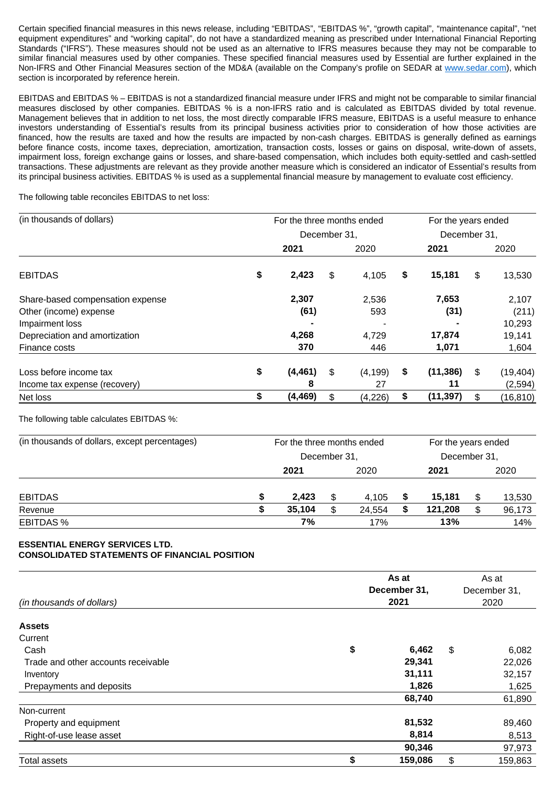Certain specified financial measures in this news release, including "EBITDAS", "EBITDAS %", "growth capital", "maintenance capital", "net equipment expenditures" and "working capital", do not have a standardized meaning as prescribed under International Financial Reporting Standards ("IFRS"). These measures should not be used as an alternative to IFRS measures because they may not be comparable to similar financial measures used by other companies. These specified financial measures used by Essential are further explained in the Non-IFRS and Other Financial Measures section of the MD&A (available on the Company's profile on SEDAR at [www.sedar.com\)](http://www.sedar.com/), which section is incorporated by reference herein.

EBITDAS and EBITDAS % – EBITDAS is not a standardized financial measure under IFRS and might not be comparable to similar financial measures disclosed by other companies. EBITDAS % is a non-IFRS ratio and is calculated as EBITDAS divided by total revenue. Management believes that in addition to net loss, the most directly comparable IFRS measure, EBITDAS is a useful measure to enhance investors understanding of Essential's results from its principal business activities prior to consideration of how those activities are financed, how the results are taxed and how the results are impacted by non-cash charges. EBITDAS is generally defined as earnings before finance costs, income taxes, depreciation, amortization, transaction costs, losses or gains on disposal, write-down of assets, impairment loss, foreign exchange gains or losses, and share-based compensation, which includes both equity-settled and cash-settled transactions. These adjustments are relevant as they provide another measure which is considered an indicator of Essential's results from its principal business activities. EBITDAS % is used as a supplemental financial measure by management to evaluate cost efficiency.

The following table reconciles EBITDAS to net loss:

| (in thousands of dollars)        | For the three months ended |     |          |    |              |    | For the years ended |  |
|----------------------------------|----------------------------|-----|----------|----|--------------|----|---------------------|--|
|                                  | December 31.               |     |          |    | December 31, |    |                     |  |
|                                  | 2021                       |     | 2020     |    | 2021         |    | 2020                |  |
| <b>EBITDAS</b>                   | \$<br>2,423                | \$  | 4,105    | \$ | 15,181       | \$ | 13,530              |  |
| Share-based compensation expense | 2,307                      |     | 2,536    |    | 7,653        |    | 2,107               |  |
| Other (income) expense           | (61)                       |     | 593      |    | (31)         |    | (211)               |  |
| Impairment loss                  |                            |     |          |    |              |    | 10,293              |  |
| Depreciation and amortization    | 4,268                      |     | 4,729    |    | 17,874       |    | 19,141              |  |
| Finance costs                    | 370                        |     | 446      |    | 1,071        |    | 1,604               |  |
| Loss before income tax           | \$<br>(4, 461)             | S   | (4, 199) | \$ | (11, 386)    | \$ | (19, 404)           |  |
| Income tax expense (recovery)    | 8                          |     | 27       |    | 11           |    | (2,594)             |  |
| Net loss                         | \$<br>(4, 469)             | \$. | (4,226)  | \$ | (11, 397)    | \$ | (16, 810)           |  |

The following table calculates EBITDAS %:

| (in thousands of dollars, except percentages) | For the three months ended |              |    |        |    | For the years ended |      |        |  |
|-----------------------------------------------|----------------------------|--------------|----|--------|----|---------------------|------|--------|--|
|                                               |                            | December 31, |    |        |    | December 31,        |      |        |  |
|                                               |                            | 2021         |    | 2020   |    | 2021                | 2020 |        |  |
| <b>EBITDAS</b>                                |                            | 2,423        | S  | 4,105  | \$ | 15,181              | \$   | 13,530 |  |
| Revenue                                       |                            | 35.104       | £. | 24,554 | S  | 121,208             | \$   | 96,173 |  |
| <b>EBITDAS %</b>                              |                            | 7%           |    | 17%    |    | 13%                 |      | 14%    |  |

## **ESSENTIAL ENERGY SERVICES LTD. CONSOLIDATED STATEMENTS OF FINANCIAL POSITION**

|                                     |              | As at   |              | As at   |  |  |
|-------------------------------------|--------------|---------|--------------|---------|--|--|
|                                     | December 31, |         | December 31, |         |  |  |
| (in thousands of dollars)           |              | 2021    |              | 2020    |  |  |
| <b>Assets</b>                       |              |         |              |         |  |  |
| Current                             |              |         |              |         |  |  |
| Cash                                | \$           | 6,462   | \$           | 6,082   |  |  |
| Trade and other accounts receivable |              | 29,341  |              | 22,026  |  |  |
| Inventory                           |              | 31,111  |              | 32,157  |  |  |
| Prepayments and deposits            |              | 1,826   |              | 1,625   |  |  |
|                                     |              | 68,740  |              | 61,890  |  |  |
| Non-current                         |              |         |              |         |  |  |
| Property and equipment              |              | 81,532  |              | 89,460  |  |  |
| Right-of-use lease asset            |              | 8,814   |              | 8,513   |  |  |
|                                     |              | 90,346  |              | 97,973  |  |  |
| <b>Total assets</b>                 | \$           | 159,086 | \$           | 159,863 |  |  |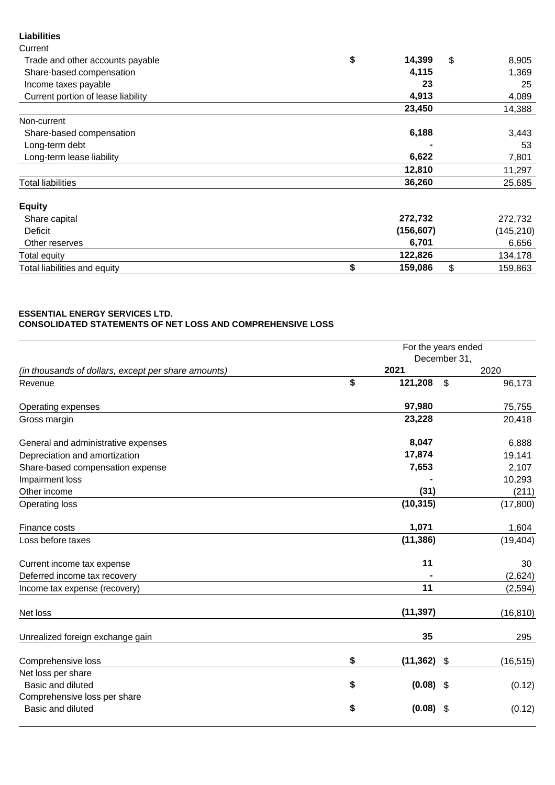# **Liabilities**

| Current                            |               |               |
|------------------------------------|---------------|---------------|
| Trade and other accounts payable   | \$<br>14,399  | \$<br>8,905   |
| Share-based compensation           | 4,115         | 1,369         |
| Income taxes payable               | 23            | 25            |
| Current portion of lease liability | 4,913         | 4,089         |
|                                    | 23,450        | 14,388        |
| Non-current                        |               |               |
| Share-based compensation           | 6,188         | 3,443         |
| Long-term debt                     |               | 53            |
| Long-term lease liability          | 6,622         | 7,801         |
|                                    | 12,810        | 11,297        |
| <b>Total liabilities</b>           | 36,260        | 25,685        |
| <b>Equity</b>                      |               |               |
| Share capital                      | 272,732       | 272,732       |
| Deficit                            | (156, 607)    | (145, 210)    |
| Other reserves                     | 6,701         | 6,656         |
| <b>Total equity</b>                | 122,826       | 134,178       |
| Total liabilities and equity       | \$<br>159,086 | \$<br>159,863 |

### **ESSENTIAL ENERGY SERVICES LTD. CONSOLIDATED STATEMENTS OF NET LOSS AND COMPREHENSIVE LOSS**

|                                                     | For the years ended |                           |           |  |  |
|-----------------------------------------------------|---------------------|---------------------------|-----------|--|--|
|                                                     |                     | December 31,              |           |  |  |
| (in thousands of dollars, except per share amounts) | 2021                |                           | 2020      |  |  |
| Revenue                                             | \$<br>121,208       | $\boldsymbol{\mathsf{s}}$ | 96,173    |  |  |
| Operating expenses                                  | 97,980              |                           | 75,755    |  |  |
| Gross margin                                        | 23,228              |                           | 20,418    |  |  |
| General and administrative expenses                 | 8,047               |                           | 6,888     |  |  |
| Depreciation and amortization                       | 17,874              |                           | 19,141    |  |  |
| Share-based compensation expense                    | 7,653               |                           | 2,107     |  |  |
| Impairment loss                                     |                     |                           | 10,293    |  |  |
| Other income                                        | (31)                |                           | (211)     |  |  |
| Operating loss                                      | (10, 315)           |                           | (17,800)  |  |  |
| Finance costs                                       | 1,071               |                           | 1,604     |  |  |
| Loss before taxes                                   | (11, 386)           |                           | (19, 404) |  |  |
| Current income tax expense                          | 11                  |                           | 30        |  |  |
| Deferred income tax recovery                        |                     |                           | (2,624)   |  |  |
| Income tax expense (recovery)                       | 11                  |                           | (2, 594)  |  |  |
| Net loss                                            | (11, 397)           |                           | (16, 810) |  |  |
| Unrealized foreign exchange gain                    | 35                  |                           | 295       |  |  |
| Comprehensive loss                                  | \$<br>(11, 362)     | $\mathfrak{F}$            | (16, 515) |  |  |
| Net loss per share                                  |                     |                           |           |  |  |
| Basic and diluted                                   | \$<br>$(0.08)$ \$   |                           | (0.12)    |  |  |
| Comprehensive loss per share                        |                     |                           |           |  |  |
| <b>Basic and diluted</b>                            | \$<br>(0.08)        | -S                        | (0.12)    |  |  |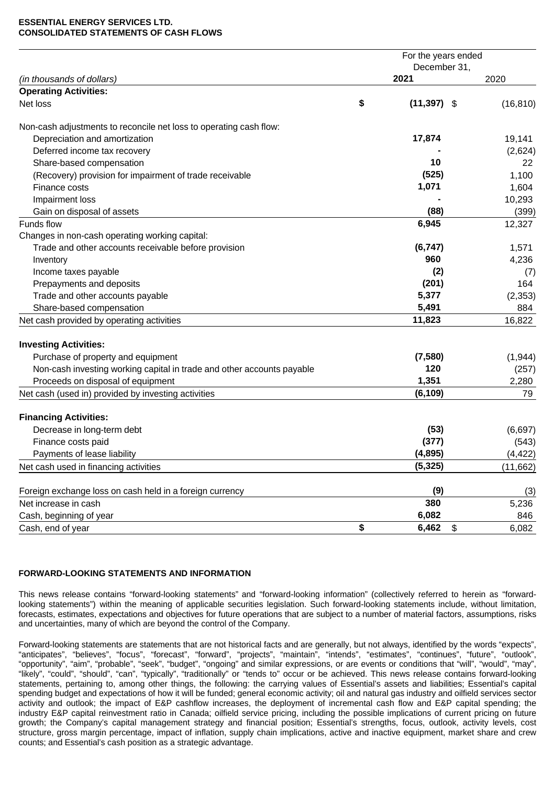#### **ESSENTIAL ENERGY SERVICES LTD. CONSOLIDATED STATEMENTS OF CASH FLOWS**

|                                                                        |    | For the years ended |           |
|------------------------------------------------------------------------|----|---------------------|-----------|
|                                                                        |    | December 31,        |           |
| (in thousands of dollars)                                              |    | 2021                | 2020      |
| <b>Operating Activities:</b>                                           |    |                     |           |
| Net loss                                                               | \$ | $(11,397)$ \$       | (16, 810) |
| Non-cash adjustments to reconcile net loss to operating cash flow:     |    |                     |           |
| Depreciation and amortization                                          |    | 17,874              | 19,141    |
| Deferred income tax recovery                                           |    |                     | (2,624)   |
| Share-based compensation                                               |    | 10                  | 22        |
| (Recovery) provision for impairment of trade receivable                |    | (525)               | 1,100     |
| Finance costs                                                          |    | 1,071               | 1,604     |
| Impairment loss                                                        |    |                     | 10,293    |
| Gain on disposal of assets                                             |    | (88)                | (399)     |
| Funds flow                                                             |    | 6,945               | 12,327    |
| Changes in non-cash operating working capital:                         |    |                     |           |
| Trade and other accounts receivable before provision                   |    | (6, 747)            | 1,571     |
| Inventory                                                              |    | 960                 | 4,236     |
| Income taxes payable                                                   |    | (2)                 | (7)       |
| Prepayments and deposits                                               |    | (201)               | 164       |
| Trade and other accounts payable                                       |    | 5,377               | (2, 353)  |
| Share-based compensation                                               |    | 5,491               | 884       |
| Net cash provided by operating activities                              |    | 11,823              | 16,822    |
| <b>Investing Activities:</b>                                           |    |                     |           |
| Purchase of property and equipment                                     |    | (7, 580)            | (1,944)   |
| Non-cash investing working capital in trade and other accounts payable |    | 120                 | (257)     |
| Proceeds on disposal of equipment                                      |    | 1,351               | 2,280     |
| Net cash (used in) provided by investing activities                    |    | (6, 109)            | 79        |
| <b>Financing Activities:</b>                                           |    |                     |           |
| Decrease in long-term debt                                             |    | (53)                | (6,697)   |
| Finance costs paid                                                     |    | (377)               | (543)     |
| Payments of lease liability                                            |    | (4, 895)            | (4, 422)  |
| Net cash used in financing activities                                  |    | (5, 325)            | (11,662)  |
|                                                                        |    |                     |           |
| Foreign exchange loss on cash held in a foreign currency               |    | (9)                 | (3)       |
| Net increase in cash                                                   |    | 380                 | 5,236     |
| Cash, beginning of year                                                |    | 6,082               | 846       |
| Cash, end of year                                                      | \$ | 6,462<br>\$         | 6,082     |

## **FORWARD-LOOKING STATEMENTS AND INFORMATION**

This news release contains "forward-looking statements" and "forward-looking information" (collectively referred to herein as "forwardlooking statements") within the meaning of applicable securities legislation. Such forward-looking statements include, without limitation, forecasts, estimates, expectations and objectives for future operations that are subject to a number of material factors, assumptions, risks and uncertainties, many of which are beyond the control of the Company.

Forward-looking statements are statements that are not historical facts and are generally, but not always, identified by the words "expects", "anticipates", "believes", "focus", "forecast", "forward", "projects", "maintain", "intends", "estimates", "continues", "future", "outlook", "opportunity", "aim", "probable", "seek", "budget", "ongoing" and similar expressions, or are events or conditions that "will", "would", "may", "likely", "could", "should", "can", "typically", "traditionally" or "tends to" occur or be achieved. This news release contains forward-looking statements, pertaining to, among other things, the following: the carrying values of Essential's assets and liabilities; Essential's capital spending budget and expectations of how it will be funded; general economic activity; oil and natural gas industry and oilfield services sector activity and outlook; the impact of E&P cashflow increases, the deployment of incremental cash flow and E&P capital spending; the industry E&P capital reinvestment ratio in Canada; oilfield service pricing, including the possible implications of current pricing on future growth; the Company's capital management strategy and financial position; Essential's strengths, focus, outlook, activity levels, cost structure, gross margin percentage, impact of inflation, supply chain implications, active and inactive equipment, market share and crew counts; and Essential's cash position as a strategic advantage.